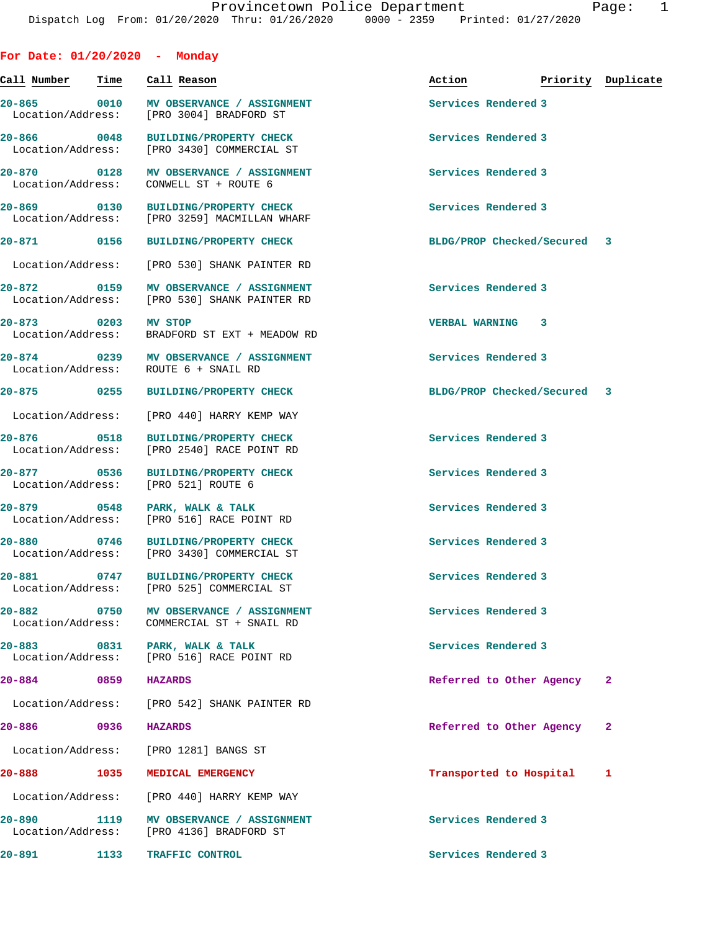**For Date: 01/20/2020 - Monday**

| Call Number – Time                         |      | Call Reason                                                                       | Action                      | Priority Duplicate |
|--------------------------------------------|------|-----------------------------------------------------------------------------------|-----------------------------|--------------------|
| Location/Address:                          |      | 20-865  0010 MV OBSERVANCE / ASSIGNMENT<br>[PRO 3004] BRADFORD ST                 | Services Rendered 3         |                    |
|                                            |      | 20-866 0048 BUILDING/PROPERTY CHECK<br>Location/Address: [PRO 3430] COMMERCIAL ST | Services Rendered 3         |                    |
| 20-870<br>$\sim$ 0128<br>Location/Address: |      | MV OBSERVANCE / ASSIGNMENT<br>CONWELL ST + ROUTE 6                                | Services Rendered 3         |                    |
| 20-869 0130                                |      | <b>BUILDING/PROPERTY CHECK</b><br>Location/Address: [PRO 3259] MACMILLAN WHARF    | Services Rendered 3         |                    |
| 20-871 0156                                |      | <b>BUILDING/PROPERTY CHECK</b>                                                    | BLDG/PROP Checked/Secured 3 |                    |
| Location/Address:                          |      | [PRO 530] SHANK PAINTER RD                                                        |                             |                    |
| 20-872                                     | 0159 | MV OBSERVANCE / ASSIGNMENT<br>Location/Address: [PRO 530] SHANK PAINTER RD        | Services Rendered 3         |                    |
| 20-873 0203 MV STOP                        |      | Location/Address: BRADFORD ST EXT + MEADOW RD                                     | <b>VERBAL WARNING 3</b>     |                    |
| 20-874                                     |      | 0239 MV OBSERVANCE / ASSIGNMENT<br>Location/Address: ROUTE 6 + SNAIL RD           | Services Rendered 3         |                    |
| 20-875 0255                                |      | <b>BUILDING/PROPERTY CHECK</b>                                                    | BLDG/PROP Checked/Secured 3 |                    |
|                                            |      | Location/Address: [PRO 440] HARRY KEMP WAY                                        |                             |                    |
| 20-876 0518<br>Location/Address:           |      | <b>BUILDING/PROPERTY CHECK</b><br>[PRO 2540] RACE POINT RD                        | Services Rendered 3         |                    |
| 20-877 0536                                |      | <b>BUILDING/PROPERTY CHECK</b><br>Location/Address: [PRO 521] ROUTE 6             | Services Rendered 3         |                    |
| 20-879 0548<br>Location/Address:           |      | PARK, WALK & TALK<br>[PRO 516] RACE POINT RD                                      | Services Rendered 3         |                    |
| 20-880                                     | 0746 | <b>BUILDING/PROPERTY CHECK</b><br>Location/Address: [PRO 3430] COMMERCIAL ST      | Services Rendered 3         |                    |
| 20-881                                     |      | 0747 BUILDING/PROPERTY CHECK<br>Location/Address: [PRO 525] COMMERCIAL ST         | Services Rendered 3         |                    |
| 20-882                                     |      | 0750 MV OBSERVANCE / ASSIGNMENT<br>Location/Address: COMMERCIAL ST + SNAIL RD     | Services Rendered 3         |                    |
| 20-883<br>Location/Address:                | 0831 | PARK, WALK & TALK<br>[PRO 516] RACE POINT RD                                      | Services Rendered 3         |                    |
| $20 - 884$                                 | 0859 | <b>HAZARDS</b>                                                                    | Referred to Other Agency    | 2                  |
|                                            |      | Location/Address: [PRO 542] SHANK PAINTER RD                                      |                             |                    |
| 20-886                                     | 0936 | <b>HAZARDS</b>                                                                    | Referred to Other Agency    | 2                  |
| Location/Address:                          |      | [PRO 1281] BANGS ST                                                               |                             |                    |
| 20-888                                     | 1035 | MEDICAL EMERGENCY                                                                 | Transported to Hospital     | 1                  |
| Location/Address:                          |      | [PRO 440] HARRY KEMP WAY                                                          |                             |                    |
| 20-890                                     | 1119 | MV OBSERVANCE / ASSIGNMENT<br>Location/Address: [PRO 4136] BRADFORD ST            | Services Rendered 3         |                    |
| 20-891                                     |      | 1133 TRAFFIC CONTROL                                                              | Services Rendered 3         |                    |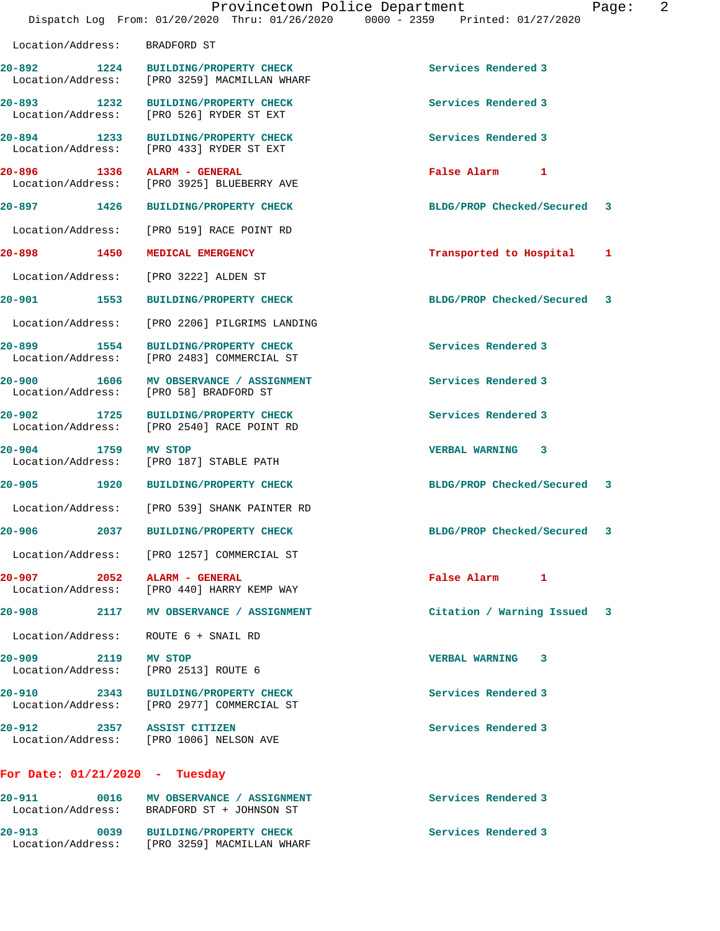|                                  |      | Provincetown Police Department<br>Dispatch Log From: 01/20/2020 Thru: 01/26/2020 0000 - 2359 Printed: 01/27/2020 |                             | 2<br>Page: |
|----------------------------------|------|------------------------------------------------------------------------------------------------------------------|-----------------------------|------------|
| Location/Address:                |      | BRADFORD ST                                                                                                      |                             |            |
| 20-892 1224<br>Location/Address: |      | BUILDING/PROPERTY CHECK<br>[PRO 3259] MACMILLAN WHARF                                                            | Services Rendered 3         |            |
| $20 - 893$<br>Location/Address:  | 1232 | <b>BUILDING/PROPERTY CHECK</b><br>[PRO 526] RYDER ST EXT                                                         | Services Rendered 3         |            |
| 20-894 1233                      |      | <b>BUILDING/PROPERTY CHECK</b><br>Location/Address: [PRO 433] RYDER ST EXT                                       | Services Rendered 3         |            |
| 20-896 1336<br>Location/Address: |      | ALARM - GENERAL<br>[PRO 3925] BLUEBERRY AVE                                                                      | False Alarm 1               |            |
| 20-897 1426                      |      | <b>BUILDING/PROPERTY CHECK</b>                                                                                   | BLDG/PROP Checked/Secured   | 3          |
|                                  |      | Location/Address: [PRO 519] RACE POINT RD                                                                        |                             |            |
| 20-898 1450                      |      | MEDICAL EMERGENCY                                                                                                | Transported to Hospital     | 1          |
| Location/Address:                |      | [PRO 3222] ALDEN ST                                                                                              |                             |            |
| 20-901 1553                      |      | <b>BUILDING/PROPERTY CHECK</b>                                                                                   | BLDG/PROP Checked/Secured   | 3          |
| Location/Address:                |      | [PRO 2206] PILGRIMS LANDING                                                                                      |                             |            |
| 20-899                           | 1554 | <b>BUILDING/PROPERTY CHECK</b><br>Location/Address: [PRO 2483] COMMERCIAL ST                                     | Services Rendered 3         |            |
| $20 - 900$<br>Location/Address:  | 1606 | MV OBSERVANCE / ASSIGNMENT<br>[PRO 58] BRADFORD ST                                                               | Services Rendered 3         |            |
| $20 - 902$                       | 1725 | <b>BUILDING/PROPERTY CHECK</b><br>Location/Address: [PRO 2540] RACE POINT RD                                     | Services Rendered 3         |            |
| $20 - 904$<br>Location/Address:  | 1759 | MV STOP<br>[PRO 187] STABLE PATH                                                                                 | VERBAL WARNING 3            |            |
| $20 - 905$                       |      | 1920 BUILDING/PROPERTY CHECK                                                                                     | BLDG/PROP Checked/Secured 3 |            |
|                                  |      | Location/Address: [PRO 539] SHANK PAINTER RD                                                                     |                             |            |
| $20 - 906$                       | 2037 | <b>BUILDING/PROPERTY CHECK</b>                                                                                   | BLDG/PROP Checked/Secured   | 3          |
|                                  |      | Location/Address: [PRO 1257] COMMERCIAL ST                                                                       |                             |            |
|                                  |      | 20-907 2052 ALARM - GENERAL<br>Location/Address: [PRO 440] HARRY KEMP WAY                                        | False Alarm 1               |            |
|                                  |      | 20-908 2117 MV OBSERVANCE / ASSIGNMENT                                                                           | Citation / Warning Issued 3 |            |
|                                  |      | Location/Address: ROUTE 6 + SNAIL RD                                                                             |                             |            |
| 20-909 2119                      |      | MV STOP<br>Location/Address: [PRO 2513] ROUTE 6                                                                  | VERBAL WARNING 3            |            |
|                                  |      | 20-910 2343 BUILDING/PROPERTY CHECK<br>Location/Address: [PRO 2977] COMMERCIAL ST                                | Services Rendered 3         |            |
|                                  |      | 20-912 2357 ASSIST CITIZEN<br>Location/Address: [PRO 1006] NELSON AVE                                            | Services Rendered 3         |            |
|                                  |      | For Date: $01/21/2020$ - Tuesday                                                                                 |                             |            |
| 20-911                           |      | 0016 MV OBSERVANCE / ASSIGNMENT<br>Location/Address: BRADFORD ST + JOHNSON ST                                    | Services Rendered 3         |            |

**20-913 0039 BUILDING/PROPERTY CHECK Services Rendered 3** 

Location/Address: [PRO 3259] MACMILLAN WHARF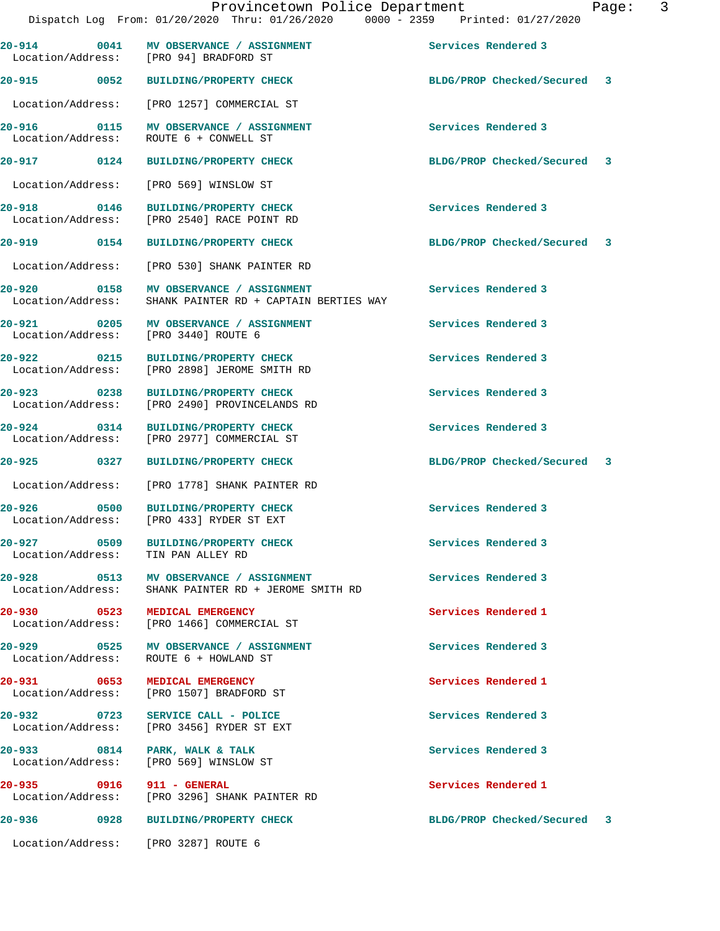|                                  |             | 20-914 0041 MV OBSERVANCE / ASSIGNMENT<br>Location/Address: [PRO 94] BRADFORD ST | Services Rendered 3         |  |
|----------------------------------|-------------|----------------------------------------------------------------------------------|-----------------------------|--|
| 20-915 0052                      |             | <b>BUILDING/PROPERTY CHECK</b>                                                   | BLDG/PROP Checked/Secured 3 |  |
| Location/Address:                |             | [PRO 1257] COMMERCIAL ST                                                         |                             |  |
| Location/Address:                |             | 20-916 0115 MV OBSERVANCE / ASSIGNMENT<br>ROUTE 6 + CONWELL ST                   | Services Rendered 3         |  |
| 20-917 0124                      |             | <b>BUILDING/PROPERTY CHECK</b>                                                   | BLDG/PROP Checked/Secured 3 |  |
|                                  |             | Location/Address: [PRO 569] WINSLOW ST                                           |                             |  |
| 20-918 0146<br>Location/Address: |             | <b>BUILDING/PROPERTY CHECK</b><br>[PRO 2540] RACE POINT RD                       | Services Rendered 3         |  |
| 20-919 0154                      |             | <b>BUILDING/PROPERTY CHECK</b>                                                   | BLDG/PROP Checked/Secured 3 |  |
| Location/Address:                |             | [PRO 530] SHANK PAINTER RD                                                       |                             |  |
| 20-920<br>Location/Address:      | 0158        | MV OBSERVANCE / ASSIGNMENT<br>SHANK PAINTER RD + CAPTAIN BERTIES WAY             | Services Rendered 3         |  |
|                                  |             | 20-921 0205 MV OBSERVANCE / ASSIGNMENT<br>Location/Address: [PRO 3440] ROUTE 6   | Services Rendered 3         |  |
| 20–922<br>Location/Address:      | $\sim$ 0215 | <b>BUILDING/PROPERTY CHECK</b><br>[PRO 2898] JEROME SMITH RD                     | Services Rendered 3         |  |
| 20-923 0238                      |             | <b>BUILDING/PROPERTY CHECK</b><br>Location/Address: [PRO 2490] PROVINCELANDS RD  | Services Rendered 3         |  |
| 20-924 0314                      |             | <b>BUILDING/PROPERTY CHECK</b><br>Location/Address: [PRO 2977] COMMERCIAL ST     | Services Rendered 3         |  |
| 20-925 0327                      |             | <b>BUILDING/PROPERTY CHECK</b>                                                   | BLDG/PROP Checked/Secured 3 |  |
| Location/Address:                |             | [PRO 1778] SHANK PAINTER RD                                                      |                             |  |
| 20-926 0500<br>Location/Address: |             | <b>BUILDING/PROPERTY CHECK</b><br>[PRO 433] RYDER ST EXT                         | Services Rendered 3         |  |
| 20-927<br>Location/Address:      | 0509        | <b>BUILDING/PROPERTY CHECK</b><br>TIN PAN ALLEY RD                               | Services Rendered 3         |  |
| 20-928 2012<br>Location/Address: |             | 0513 MV OBSERVANCE / ASSIGNMENT<br>SHANK PAINTER RD + JEROME SMITH RD            | Services Rendered 3         |  |
| 20-930                           |             | 0523 MEDICAL EMERGENCY<br>Location/Address: [PRO 1466] COMMERCIAL ST             | Services Rendered 1         |  |
|                                  |             | 20-929 0525 MV OBSERVANCE / ASSIGNMENT<br>Location/Address: ROUTE 6 + HOWLAND ST | Services Rendered 3         |  |
|                                  |             | 20-931 0653 MEDICAL EMERGENCY<br>Location/Address: [PRO 1507] BRADFORD ST        | Services Rendered 1         |  |
| 20-932 0723                      |             | SERVICE CALL - POLICE<br>Location/Address: [PRO 3456] RYDER ST EXT               | Services Rendered 3         |  |
| 20-933 0814                      |             | PARK, WALK & TALK<br>Location/Address: [PRO 569] WINSLOW ST                      | Services Rendered 3         |  |
|                                  |             | 20-935 0916 911 - GENERAL<br>Location/Address: [PRO 3296] SHANK PAINTER RD       | Services Rendered 1         |  |
| 20–936                           | 0928        | <b>BUILDING/PROPERTY CHECK</b>                                                   | BLDG/PROP Checked/Secured 3 |  |
|                                  |             | Location/Address: [PRO 3287] ROUTE 6                                             |                             |  |
|                                  |             |                                                                                  |                             |  |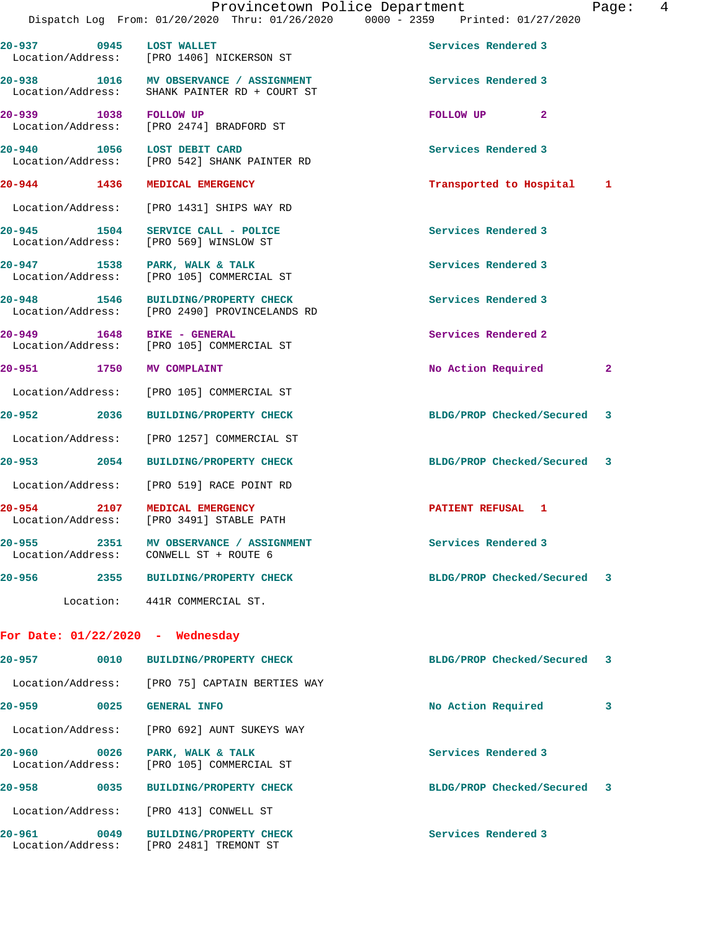| 20-937 0945 LOST WALLET          |      | Location/Address: [PRO 1406] NICKERSON ST                                            | Services Rendered 3         |   |
|----------------------------------|------|--------------------------------------------------------------------------------------|-----------------------------|---|
| Location/Address:                |      | 20-938 1016 MV OBSERVANCE / ASSIGNMENT<br>SHANK PAINTER RD + COURT ST                | Services Rendered 3         |   |
| 20-939 1038 FOLLOW UP            |      | Location/Address: [PRO 2474] BRADFORD ST                                             | $\mathbf{2}$<br>FOLLOW UP   |   |
|                                  |      | 20-940 1056 LOST DEBIT CARD<br>Location/Address: [PRO 542] SHANK PAINTER RD          | Services Rendered 3         |   |
| 20-944 1436                      |      | MEDICAL EMERGENCY                                                                    | Transported to Hospital 1   |   |
|                                  |      | Location/Address: [PRO 1431] SHIPS WAY RD                                            |                             |   |
| 20-945 1504<br>Location/Address: |      | SERVICE CALL - POLICE<br>[PRO 569] WINSLOW ST                                        | Services Rendered 3         |   |
| 20-947<br>Location/Address:      | 1538 | PARK, WALK & TALK<br>[PRO 105] COMMERCIAL ST                                         | Services Rendered 3         |   |
|                                  |      | 20-948 1546 BUILDING/PROPERTY CHECK<br>Location/Address: [PRO 2490] PROVINCELANDS RD | Services Rendered 3         |   |
| 20–949                           | 1648 | BIKE - GENERAL<br>Location/Address: [PRO 105] COMMERCIAL ST                          | Services Rendered 2         |   |
| 20-951 1750                      |      | MV COMPLAINT                                                                         | No Action Required          | 2 |
|                                  |      | Location/Address: [PRO 105] COMMERCIAL ST                                            |                             |   |
| 20-952 2036                      |      | <b>BUILDING/PROPERTY CHECK</b>                                                       | BLDG/PROP Checked/Secured 3 |   |
|                                  |      | Location/Address: [PRO 1257] COMMERCIAL ST                                           |                             |   |
| 20–953 2054                      |      | <b>BUILDING/PROPERTY CHECK</b>                                                       | BLDG/PROP Checked/Secured 3 |   |
|                                  |      | Location/Address: [PRO 519] RACE POINT RD                                            |                             |   |
| 20-954 2107                      |      | MEDICAL EMERGENCY<br>Location/Address: [PRO 3491] STABLE PATH                        | PATIENT REFUSAL 1           |   |
| 2351<br>20-955                   |      | MV OBSERVANCE / ASSIGNMENT                                                           | Services Rendered 3         |   |
| 20-956                           | 2355 | <b>BUILDING/PROPERTY CHECK</b>                                                       | BLDG/PROP Checked/Secured   | 3 |
|                                  |      | Location: 441R COMMERCIAL ST.                                                        |                             |   |
|                                  |      | For Date: $01/22/2020$ - Wednesday                                                   |                             |   |
| 20-957                           | 0010 | <b>BUILDING/PROPERTY CHECK</b>                                                       | BLDG/PROP Checked/Secured   | 3 |
|                                  |      | Location/Address: [PRO 75] CAPTAIN BERTIES WAY                                       |                             |   |
| 20–959                           | 0025 | <b>GENERAL INFO</b>                                                                  | No Action Required          | 3 |
|                                  |      | Location/Address: [PRO 692] AUNT SUKEYS WAY                                          |                             |   |
| 20-960<br>Location/Address:      | 0026 | PARK, WALK & TALK<br>[PRO 105] COMMERCIAL ST                                         | Services Rendered 3         |   |
| 20-958                           | 0035 | <b>BUILDING/PROPERTY CHECK</b>                                                       | BLDG/PROP Checked/Secured   | 3 |

Location/Address: [PRO 413] CONWELL ST

**20-961 0049 BUILDING/PROPERTY CHECK Services Rendered 3**  Location/Address: [PRO 2481] TREMONT ST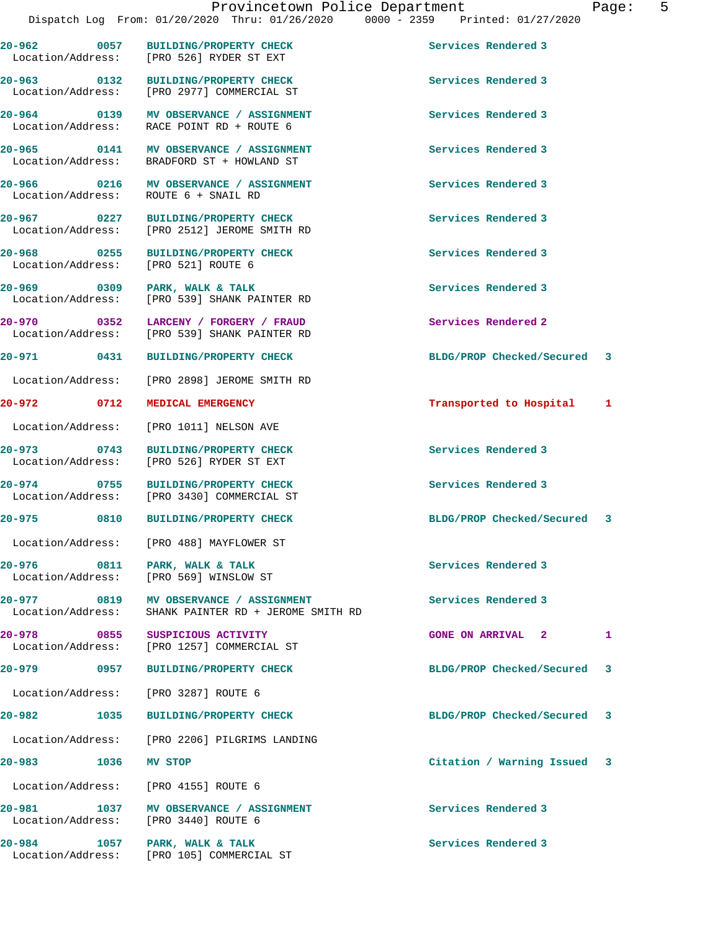Location/Address: [PRO 526] RYDER ST EXT

Location/Address:

**20-962 0057 BUILDING/PROPERTY CHECK Services Rendered 3** 

**20-963 0132 BUILDING/PROPERTY CHECK Services Rendered 3**  [PRO 2977] COMMERCIAL ST

**20-964 0139 MV OBSERVANCE / ASSIGNMENT Services Rendered 3**  Location/Address: RACE POINT RD + ROUTE 6

**20-965 0141 MV OBSERVANCE / ASSIGNMENT Services Rendered 3**  BRADFORD ST + HOWLAND ST

**20-966 0216 MV OBSERVANCE / ASSIGNMENT Services Rendered 3**  Location/Address: ROUTE 6 + SNAIL RD

**20-967 0227 BUILDING/PROPERTY CHECK Services Rendered 3**  Location/Address: [PRO 2512] JEROME SMITH RD

**20-968** 0255 BUILDING/PROPERTY CHECK Services Rendered 3<br>
Location/Address: [PRO 521] ROUTE 6

**20-969 0309 PARK, WALK & TALK Services Rendered 3**  Location/Address: [PRO 539] SHANK PAINTER RD

**20-970 0352 LARCENY / FORGERY / FRAUD Services Rendered 2**  Location/Address: [PRO 539] SHANK PAINTER RD

Location/Address: [PRO 2898] JEROME SMITH RD

Location/Address: [PRO 1011] NELSON AVE

**20-973 0743 BUILDING/PROPERTY CHECK Services Rendered 3**  Location/Address: [PRO 526] RYDER ST EXT

**20-974 0755 BUILDING/PROPERTY CHECK Services Rendered 3**  [PRO 3430] COMMERCIAL ST

Location/Address: [PRO 488] MAYFLOWER ST

**20-976 0811 PARK, WALK & TALK Services Rendered 3**  Location/Address: [PRO 569] WINSLOW ST

**20-977 0819 MV OBSERVANCE / ASSIGNMENT Services Rendered 3**  Location/Address: SHANK PAINTER RD + JEROME SMITH RD

**20-978 0855 SUSPICIOUS ACTIVITY GONE ON ARRIVAL 2 1**  [PRO 1257] COMMERCIAL ST

Location/Address: [PRO 3287] ROUTE 6

Location/Address: [PRO 2206] PILGRIMS LANDING

Location/Address: [PRO 4155] ROUTE 6

20-981 1037 MV OBSERVANCE / ASSIGNMENT **100 Services Rendered 3** Location/Address: [PRO 3440] ROUTE 6

**20-984 1057 PARK, WALK & TALK Services Rendered 3**  Location/Address: [PRO 105] COMMERCIAL ST

**20-971 0431 BUILDING/PROPERTY CHECK BLDG/PROP Checked/Secured 3**

**20-972 0712 MEDICAL EMERGENCY Transported to Hospital 1**

**20-975 0810 BUILDING/PROPERTY CHECK BLDG/PROP Checked/Secured 3**

**20-979 0957 BUILDING/PROPERTY CHECK BLDG/PROP Checked/Secured 3**

**20-982 1035 BUILDING/PROPERTY CHECK BLDG/PROP Checked/Secured 3**

**20-983 1036 MV STOP Citation / Warning Issued 3**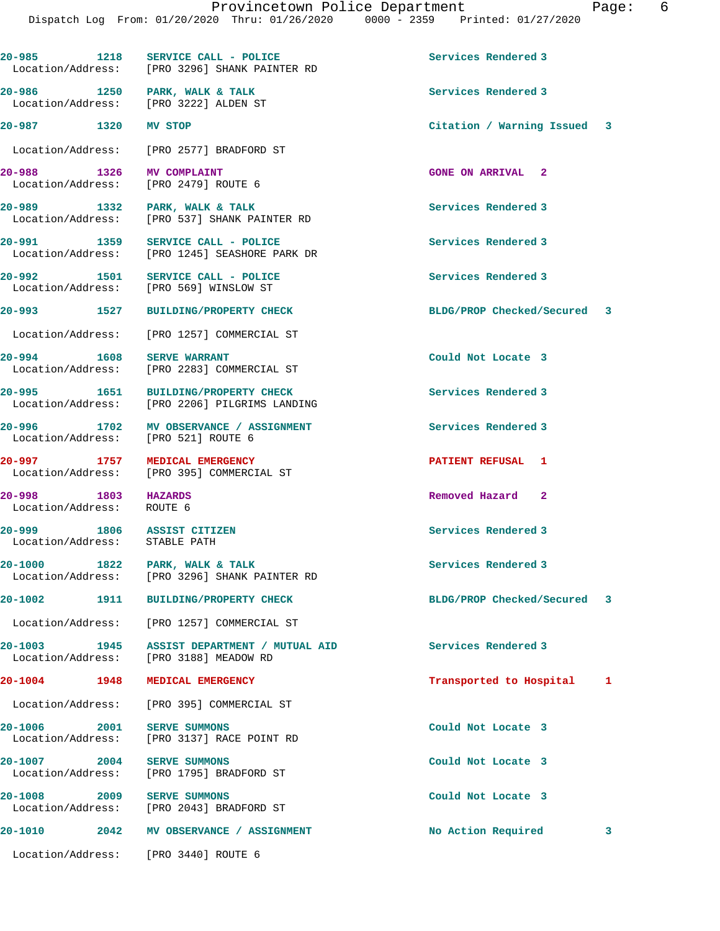**20-985 1218 SERVICE CALL - POLICE Services Rendered 3**  Location/Address: [PRO 3296] SHANK PAINTER RD **20-986 1250 PARK, WALK & TALK Services Rendered 3**  [PRO 3222] ALDEN ST **20-987 1320 MV STOP Citation / Warning Issued 3** Location/Address: [PRO 2577] BRADFORD ST **20-988 1326 MV COMPLAINT GONE ON ARRIVAL 2**  Location/Address: **20-989 1332 PARK, WALK & TALK Services Rendered 3**  Location/Address: [PRO 537] SHANK PAINTER RD **20-991 1359 SERVICE CALL - POLICE Services Rendered 3**  Location/Address: [PRO 1245] SEASHORE PARK DR **20-992 1501 SERVICE CALL - POLICE Services Rendered 3**  Location/Address: [PRO 569] WINSLOW ST **20-993 1527 BUILDING/PROPERTY CHECK BLDG/PROP Checked/Secured 3** Location/Address: [PRO 1257] COMMERCIAL ST **20-994 1608 SERVE WARRANT Could Not Locate 3**  Location/Address: [PRO 2283] COMMERCIAL ST **20-995 1651 BUILDING/PROPERTY CHECK Services Rendered 3**  Location/Address: [PRO 2206] PILGRIMS LANDING 20-996 1702 MV OBSERVANCE / ASSIGNMENT **1702** Services Rendered 3<br>
Location/Address: [PRO 521] ROUTE 6 Location/Address: **20-997 1757 MEDICAL EMERGENCY PATIENT REFUSAL 1**  Location/Address: [PRO 395] COMMERCIAL ST **20-998 1803 HAZARDS Removed Hazard 2**  Location/Address: ROUTE 6 **20-999 1806 ASSIST CITIZEN Services Rendered 3**  Location/Address: STABLE PATH **20-1000 1822 PARK, WALK & TALK Services Rendered 3**  Location/Address: [PRO 3296] SHANK PAINTER RD **20-1002 1911 BUILDING/PROPERTY CHECK BLDG/PROP Checked/Secured 3** Location/Address: [PRO 1257] COMMERCIAL ST **20-1003 1945 ASSIST DEPARTMENT / MUTUAL AID Services Rendered 3**  [PRO 3188] MEADOW RD **20-1004 1948 MEDICAL EMERGENCY Transported to Hospital 1** Location/Address: [PRO 395] COMMERCIAL ST **20-1006 2001 SERVE SUMMONS Could Not Locate 3**  Location/Address: [PRO 3137] RACE POINT RD **20-1007 2004 SERVE SUMMONS Could Not Locate 3**  [PRO 1795] BRADFORD ST **20-1008 2009 SERVE SUMMONS Could Not Locate 3**  Location/Address: [PRO 2043] BRADFORD ST **20-1010 2042 MV OBSERVANCE / ASSIGNMENT No Action Required 3**

Location/Address: [PRO 3440] ROUTE 6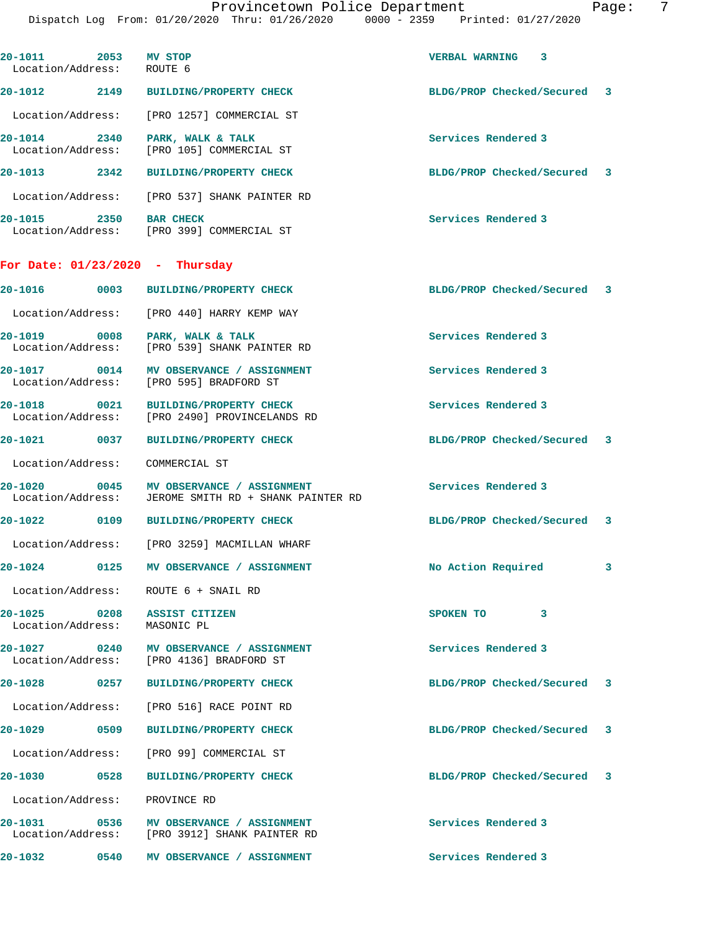| 20-1011 2053 MV STOP<br>Location/Address: ROUTE 6 |      |                                                                                          | VERBAL WARNING<br>3         |  |
|---------------------------------------------------|------|------------------------------------------------------------------------------------------|-----------------------------|--|
|                                                   |      | 20-1012 2149 BUILDING/PROPERTY CHECK                                                     | BLDG/PROP Checked/Secured 3 |  |
|                                                   |      | Location/Address: [PRO 1257] COMMERCIAL ST                                               |                             |  |
| 20-1014 2340                                      |      | PARK, WALK & TALK<br>Location/Address: [PRO 105] COMMERCIAL ST                           | Services Rendered 3         |  |
| 20-1013 2342                                      |      | <b>BUILDING/PROPERTY CHECK</b>                                                           | BLDG/PROP Checked/Secured 3 |  |
|                                                   |      | Location/Address: [PRO 537] SHANK PAINTER RD                                             |                             |  |
| 20-1015 2350 BAR CHECK                            |      | Location/Address: [PRO 399] COMMERCIAL ST                                                | Services Rendered 3         |  |
|                                                   |      | For Date: $01/23/2020$ - Thursday                                                        |                             |  |
|                                                   |      | 20-1016 0003 BUILDING/PROPERTY CHECK                                                     | BLDG/PROP Checked/Secured 3 |  |
|                                                   |      | Location/Address: [PRO 440] HARRY KEMP WAY                                               |                             |  |
|                                                   |      | 20-1019 0008 PARK, WALK & TALK<br>Location/Address: [PRO 539] SHANK PAINTER RD           | Services Rendered 3         |  |
|                                                   |      | 20-1017 0014 MV OBSERVANCE / ASSIGNMENT<br>Location/Address: [PRO 595] BRADFORD ST       | Services Rendered 3         |  |
|                                                   |      | 20-1018 0021 BUILDING/PROPERTY CHECK<br>Location/Address: [PRO 2490] PROVINCELANDS RD    | Services Rendered 3         |  |
|                                                   |      | 20-1021 0037 BUILDING/PROPERTY CHECK                                                     | BLDG/PROP Checked/Secured 3 |  |
| Location/Address:                                 |      | COMMERCIAL ST                                                                            |                             |  |
| $20 - 1020$<br>Location/Address:                  |      | 0045 MV OBSERVANCE / ASSIGNMENT<br>JEROME SMITH RD + SHANK PAINTER RD                    | Services Rendered 3         |  |
|                                                   |      | 20-1022 0109 BUILDING/PROPERTY CHECK                                                     | BLDG/PROP Checked/Secured 3 |  |
|                                                   |      | Location/Address: [PRO 3259] MACMILLAN WHARF                                             |                             |  |
|                                                   |      | 20-1024 0125 MV OBSERVANCE / ASSIGNMENT                                                  | No Action Required 3        |  |
|                                                   |      | Location/Address: ROUTE 6 + SNAIL RD                                                     |                             |  |
| Location/Address: MASONIC PL                      |      | 20-1025 0208 ASSIST CITIZEN                                                              | SPOKEN TO<br>3              |  |
|                                                   |      | 20-1027 0240 MV OBSERVANCE / ASSIGNMENT<br>Location/Address: [PRO 4136] BRADFORD ST      | Services Rendered 3         |  |
|                                                   |      | 20-1028 0257 BUILDING/PROPERTY CHECK                                                     | BLDG/PROP Checked/Secured 3 |  |
|                                                   |      | Location/Address: [PRO 516] RACE POINT RD                                                |                             |  |
|                                                   |      | 20-1029 0509 BUILDING/PROPERTY CHECK                                                     | BLDG/PROP Checked/Secured 3 |  |
|                                                   |      | Location/Address: [PRO 99] COMMERCIAL ST                                                 |                             |  |
|                                                   |      | 20-1030 0528 BUILDING/PROPERTY CHECK                                                     | BLDG/PROP Checked/Secured 3 |  |
| Location/Address: PROVINCE RD                     |      |                                                                                          |                             |  |
|                                                   |      | 20-1031 0536 MV OBSERVANCE / ASSIGNMENT<br>Location/Address: [PRO 3912] SHANK PAINTER RD | Services Rendered 3         |  |
| $20 - 1032$                                       | 0540 | MV OBSERVANCE / ASSIGNMENT                                                               | Services Rendered 3         |  |
|                                                   |      |                                                                                          |                             |  |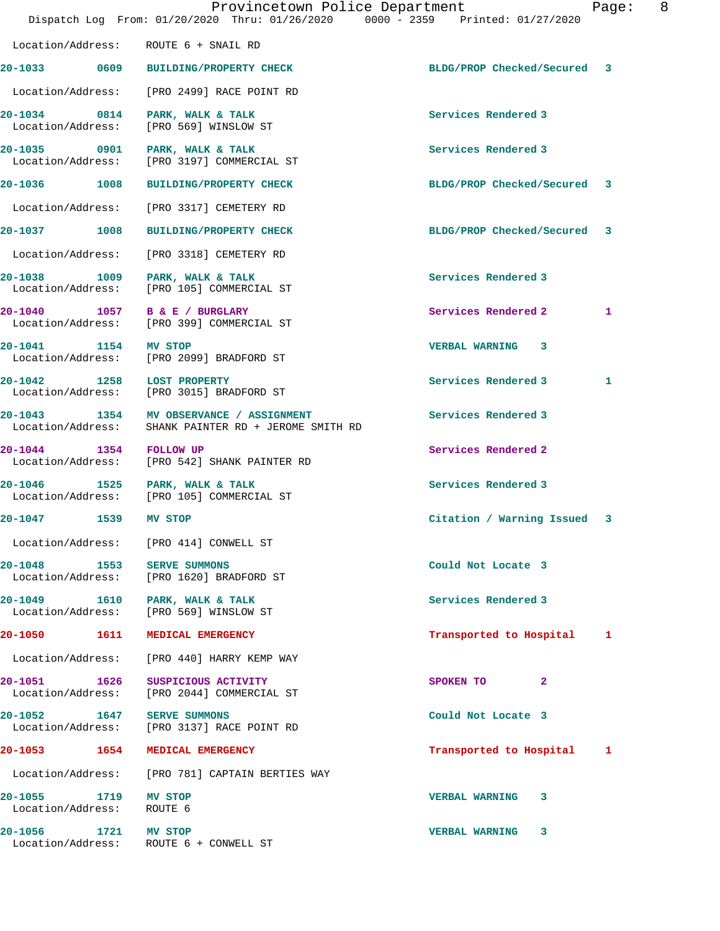|                                                 | Provincetown Police Department<br>Dispatch Log From: 01/20/2020 Thru: 01/26/2020 0000 - 2359 Printed: 01/27/2020 |                             | Page: | 8 |
|-------------------------------------------------|------------------------------------------------------------------------------------------------------------------|-----------------------------|-------|---|
|                                                 | Location/Address: ROUTE 6 + SNAIL RD                                                                             |                             |       |   |
|                                                 | 20-1033 0609 BUILDING/PROPERTY CHECK                                                                             | BLDG/PROP Checked/Secured 3 |       |   |
|                                                 | Location/Address: [PRO 2499] RACE POINT RD                                                                       |                             |       |   |
| Location/Address:                               | 20-1034 0814 PARK, WALK & TALK<br>[PRO 569] WINSLOW ST                                                           | Services Rendered 3         |       |   |
|                                                 | 20-1035 0901 PARK, WALK & TALK<br>Location/Address: [PRO 3197] COMMERCIAL ST                                     | Services Rendered 3         |       |   |
|                                                 | 20-1036 1008 BUILDING/PROPERTY CHECK                                                                             | BLDG/PROP Checked/Secured 3 |       |   |
|                                                 | Location/Address: [PRO 3317] CEMETERY RD                                                                         |                             |       |   |
|                                                 | 20-1037 1008 BUILDING/PROPERTY CHECK                                                                             | BLDG/PROP Checked/Secured 3 |       |   |
| Location/Address:                               | [PRO 3318] CEMETERY RD                                                                                           |                             |       |   |
| Location/Address:                               | 20-1038 1009 PARK, WALK & TALK<br>[PRO 105] COMMERCIAL ST                                                        | Services Rendered 3         |       |   |
|                                                 | 20-1040 1057 B & E / BURGLARY<br>Location/Address: [PRO 399] COMMERCIAL ST                                       | Services Rendered 2         | 1     |   |
| 20-1041 1154 MV STOP                            | Location/Address: [PRO 2099] BRADFORD ST                                                                         | VERBAL WARNING 3            |       |   |
| 20-1042 1258 LOST PROPERTY<br>Location/Address: | [PRO 3015] BRADFORD ST                                                                                           | Services Rendered 3         | 1     |   |
| Location/Address:                               | 20-1043 1354 MV OBSERVANCE / ASSIGNMENT<br>SHANK PAINTER RD + JEROME SMITH RD                                    | Services Rendered 3         |       |   |
| 20-1044 1354 FOLLOW UP<br>Location/Address:     | [PRO 542] SHANK PAINTER RD                                                                                       | Services Rendered 2         |       |   |
|                                                 | 20-1046 1525 PARK, WALK & TALK<br>Location/Address: [PRO 105] COMMERCIAL ST                                      | Services Rendered 3         |       |   |
| 20-1047 1539                                    | <b>MV STOP</b>                                                                                                   | Citation / Warning Issued 3 |       |   |
|                                                 | Location/Address: [PRO 414] CONWELL ST                                                                           |                             |       |   |
|                                                 | 20-1048 1553 SERVE SUMMONS<br>Location/Address: [PRO 1620] BRADFORD ST                                           | Could Not Locate 3          |       |   |
|                                                 | 20-1049 1610 PARK, WALK & TALK<br>Location/Address: [PRO 569] WINSLOW ST                                         | Services Rendered 3         |       |   |
| 20-1050 1611                                    | MEDICAL EMERGENCY                                                                                                | Transported to Hospital     | 1     |   |
|                                                 | Location/Address: [PRO 440] HARRY KEMP WAY                                                                       |                             |       |   |
| 20-1051 1626<br>Location/Address:               | SUSPICIOUS ACTIVITY<br>[PRO 2044] COMMERCIAL ST                                                                  | $\mathbf{2}$<br>SPOKEN TO   |       |   |
| 20-1052 1647 SERVE SUMMONS                      | Location/Address: [PRO 3137] RACE POINT RD                                                                       | Could Not Locate 3          |       |   |
| 20-1053 1654                                    | MEDICAL EMERGENCY                                                                                                | Transported to Hospital     | 1     |   |
|                                                 | Location/Address: [PRO 781] CAPTAIN BERTIES WAY                                                                  |                             |       |   |
| 20-1055 1719<br>Location/Address:               | MV STOP<br>ROUTE 6                                                                                               | <b>VERBAL WARNING</b><br>3  |       |   |
| 20-1056 1721 MV STOP                            | Location/Address: ROUTE 6 + CONWELL ST                                                                           | VERBAL WARNING 3            |       |   |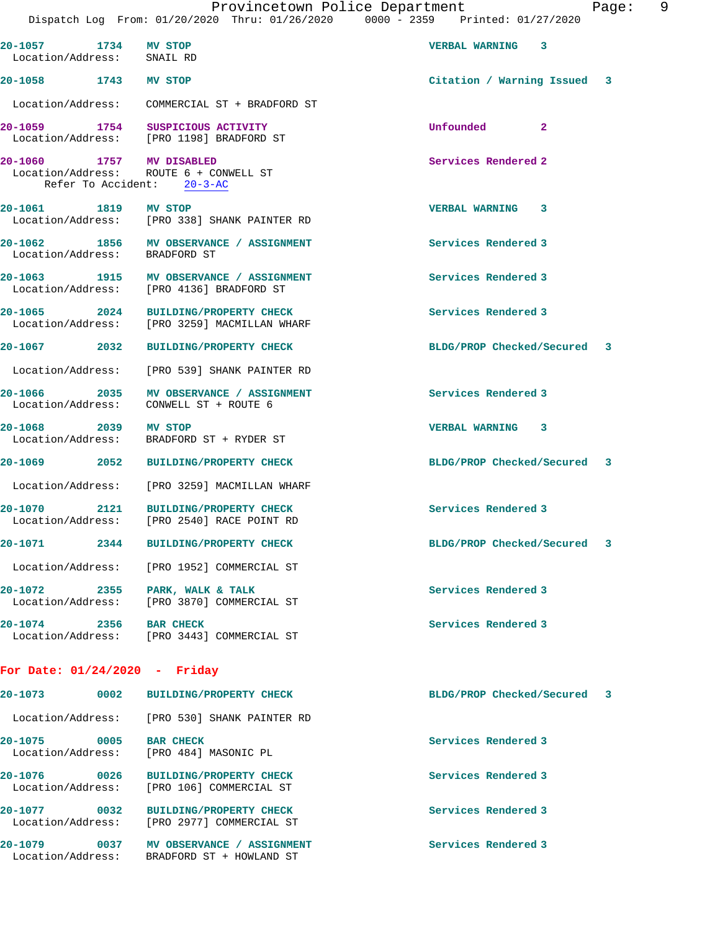|                                                    |      | Dispatch Log From: 01/20/2020 Thru: 01/26/2020 0000 - 2359 Printed: 01/27/2020                   |                                |  |
|----------------------------------------------------|------|--------------------------------------------------------------------------------------------------|--------------------------------|--|
| 20-1057 1734 MV STOP<br>Location/Address: SNAIL RD |      |                                                                                                  | VERBAL WARNING 3               |  |
| 20-1058 1743 MV STOP                               |      |                                                                                                  | Citation / Warning Issued 3    |  |
|                                                    |      |                                                                                                  |                                |  |
|                                                    |      | 20-1059 1754 SUSPICIOUS ACTIVITY<br>Location/Address: [PRO 1198] BRADFORD ST                     | Unfounded 2                    |  |
|                                                    |      | 20-1060 1757 MV DISABLED<br>Location/Address: ROUTE 6 + CONWELL ST<br>Refer To Accident: 20-3-AC | Services Rendered 2            |  |
| 20-1061 1819 MV STOP                               |      | Location/Address: [PRO 338] SHANK PAINTER RD                                                     | VERBAL WARNING 3               |  |
|                                                    |      | 20-1062 1856 MV OBSERVANCE / ASSIGNMENT<br>Location/Address: BRADFORD ST                         | Services Rendered 3            |  |
|                                                    |      | 20-1063 1915 MV OBSERVANCE / ASSIGNMENT<br>Location/Address: [PRO 4136] BRADFORD ST              | Services Rendered 3            |  |
|                                                    |      | 20-1065 2024 BUILDING/PROPERTY CHECK<br>Location/Address: [PRO 3259] MACMILLAN WHARF             | Services Rendered 3            |  |
|                                                    |      | 20-1067 2032 BUILDING/PROPERTY CHECK                                                             | BLDG/PROP Checked/Secured 3    |  |
|                                                    |      | Location/Address: [PRO 539] SHANK PAINTER RD                                                     |                                |  |
| Location/Address:                                  |      | 20-1066 2035 MV OBSERVANCE / ASSIGNMENT<br>CONWELL ST + ROUTE 6                                  | Services Rendered 3            |  |
| 20-1068 2039 MV STOP                               |      | Location/Address: BRADFORD ST + RYDER ST                                                         | VERBAL WARNING 3               |  |
|                                                    |      | 20-1069 2052 BUILDING/PROPERTY CHECK                                                             | BLDG/PROP Checked/Secured 3    |  |
|                                                    |      | Location/Address: [PRO 3259] MACMILLAN WHARF                                                     |                                |  |
| 20-1070                                            | 2121 | <b>BUILDING/PROPERTY CHECK</b><br>Location/Address: [PRO 2540] RACE POINT RD                     | Services Rendered 3            |  |
|                                                    |      | 20-1071 2344 BUILDING/PROPERTY CHECK                                                             | BLDG/PROP Checked/Secured<br>3 |  |
| Location/Address:                                  |      | [PRO 1952] COMMERCIAL ST                                                                         |                                |  |
| 20-1072<br>Location/Address:                       | 2355 | PARK, WALK & TALK<br>[PRO 3870] COMMERCIAL ST                                                    | Services Rendered 3            |  |
| 20-1074 2356                                       |      | <b>BAR CHECK</b><br>Location/Address: [PRO 3443] COMMERCIAL ST                                   | Services Rendered 3            |  |

| 20-1073<br>0002                      | <b>BUILDING/PROPERTY CHECK</b>                             | BLDG/PROP Checked/Secured | - 3 |
|--------------------------------------|------------------------------------------------------------|---------------------------|-----|
| Location/Address:                    | FRO 5301 SHANK PAINTER RD                                  |                           |     |
| 20-1075<br>0005<br>Location/Address: | <b>BAR CHECK</b><br>[PRO 484] MASONIC PL                   | Services Rendered 3       |     |
| 20-1076<br>0026<br>Location/Address: | <b>BUILDING/PROPERTY CHECK</b><br>[PRO 106] COMMERCIAL ST  | Services Rendered 3       |     |
| 20-1077<br>0032<br>Location/Address: | <b>BUILDING/PROPERTY CHECK</b><br>[PRO 2977] COMMERCIAL ST | Services Rendered 3       |     |
| 20-1079<br>0037<br>Location/Address: | MV OBSERVANCE / ASSIGNMENT<br>BRADFORD ST + HOWLAND ST     | Services Rendered 3       |     |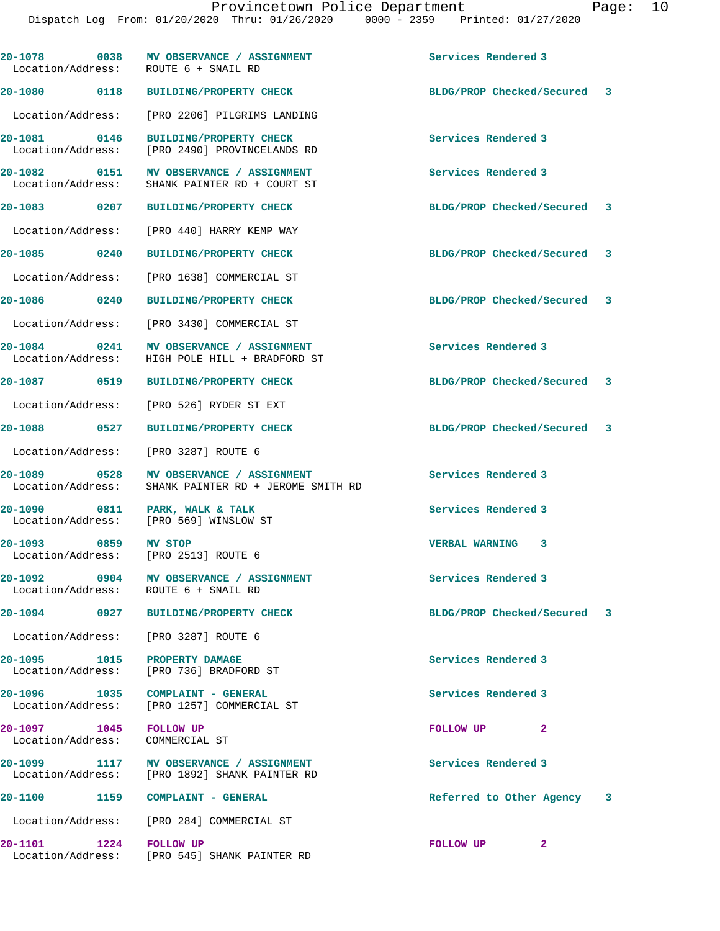| Location/Address: ROUTE 6 + SNAIL RD                         | 20-1078 0038 MV OBSERVANCE / ASSIGNMENT                                                  | Services Rendered 3         |  |
|--------------------------------------------------------------|------------------------------------------------------------------------------------------|-----------------------------|--|
|                                                              | 20-1080 0118 BUILDING/PROPERTY CHECK                                                     | BLDG/PROP Checked/Secured 3 |  |
|                                                              | Location/Address: [PRO 2206] PILGRIMS LANDING                                            |                             |  |
| 20-1081 0146                                                 | BUILDING/PROPERTY CHECK<br>Location/Address: [PRO 2490] PROVINCELANDS RD                 | Services Rendered 3         |  |
|                                                              | 20-1082 0151 MV OBSERVANCE / ASSIGNMENT<br>Location/Address: SHANK PAINTER RD + COURT ST | Services Rendered 3         |  |
|                                                              | 20-1083 0207 BUILDING/PROPERTY CHECK                                                     | BLDG/PROP Checked/Secured 3 |  |
| Location/Address:                                            | [PRO 440] HARRY KEMP WAY                                                                 |                             |  |
| 20-1085 0240                                                 | <b>BUILDING/PROPERTY CHECK</b>                                                           | BLDG/PROP Checked/Secured 3 |  |
|                                                              | Location/Address: [PRO 1638] COMMERCIAL ST                                               |                             |  |
| 20-1086 0240                                                 | <b>BUILDING/PROPERTY CHECK</b>                                                           | BLDG/PROP Checked/Secured 3 |  |
|                                                              | Location/Address: [PRO 3430] COMMERCIAL ST                                               |                             |  |
| Location/Address:                                            | 20-1084 0241 MV OBSERVANCE / ASSIGNMENT<br>HIGH POLE HILL + BRADFORD ST                  | Services Rendered 3         |  |
| 20-1087 0519                                                 | <b>BUILDING/PROPERTY CHECK</b>                                                           | BLDG/PROP Checked/Secured 3 |  |
|                                                              | Location/Address: [PRO 526] RYDER ST EXT                                                 |                             |  |
| 20-1088 0527                                                 | <b>BUILDING/PROPERTY CHECK</b>                                                           | BLDG/PROP Checked/Secured 3 |  |
| Location/Address: [PRO 3287] ROUTE 6                         |                                                                                          |                             |  |
| 20-1089 0528<br>Location/Address:                            | MV OBSERVANCE / ASSIGNMENT<br>SHANK PAINTER RD + JEROME SMITH RD                         | Services Rendered 3         |  |
| 20-1090 0811                                                 | PARK, WALK & TALK<br>Location/Address: [PRO 569] WINSLOW ST                              | Services Rendered 3         |  |
| 20-1093 0859 MV STOP<br>Location/Address: [PRO 2513] ROUTE 6 |                                                                                          | VERBAL WARNING 3            |  |
| $20 - 1092$<br>Location/Address: ROUTE 6 + SNAIL RD          | 0904 MV OBSERVANCE / ASSIGNMENT                                                          | Services Rendered 3         |  |
|                                                              | 20-1094 0927 BUILDING/PROPERTY CHECK                                                     | BLDG/PROP Checked/Secured 3 |  |
| Location/Address: [PRO 3287] ROUTE 6                         |                                                                                          |                             |  |
| 20-1095 1015                                                 | PROPERTY DAMAGE<br>Location/Address: [PRO 736] BRADFORD ST                               | Services Rendered 3         |  |
| 20-1096 1035                                                 | COMPLAINT - GENERAL<br>Location/Address: [PRO 1257] COMMERCIAL ST                        | Services Rendered 3         |  |
| 20-1097 1045<br>Location/Address:                            | <b>FOLLOW UP</b><br>COMMERCIAL ST                                                        | 2<br>FOLLOW UP              |  |
|                                                              | 20-1099 1117 MV OBSERVANCE / ASSIGNMENT<br>Location/Address: [PRO 1892] SHANK PAINTER RD | Services Rendered 3         |  |
| 20-1100 1159                                                 | COMPLAINT - GENERAL                                                                      | Referred to Other Agency 3  |  |
|                                                              | Location/Address: [PRO 284] COMMERCIAL ST                                                |                             |  |
| 20-1101                                                      | 1224 FOLLOW UP<br>Location/Address: [PRO 545] SHANK PAINTER RD                           | FOLLOW UP<br>2              |  |
|                                                              |                                                                                          |                             |  |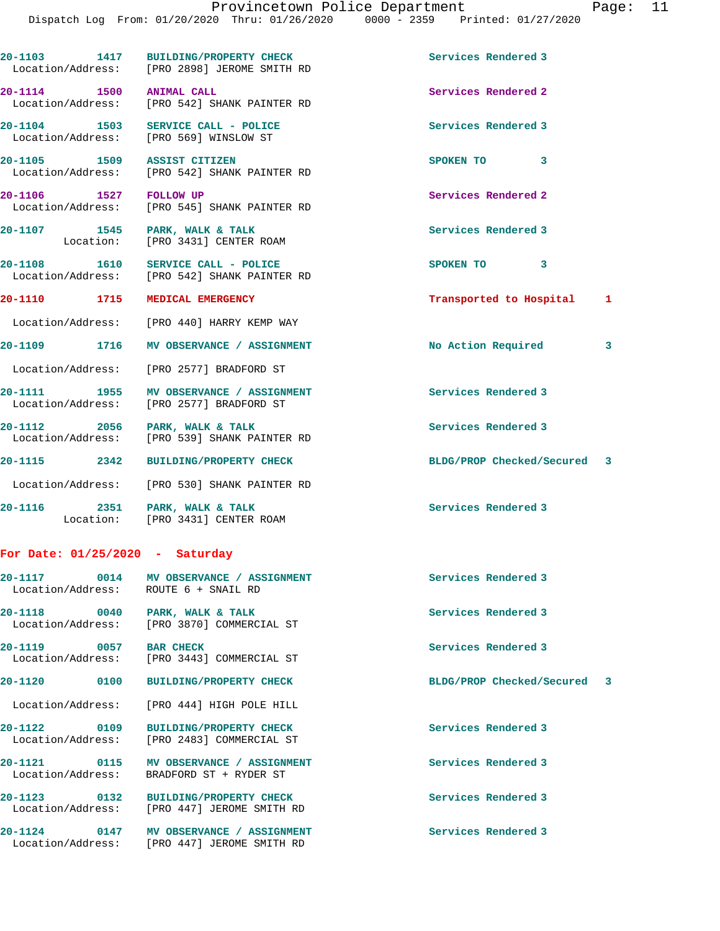**20-1103 1417 BUILDING/PROPERTY CHECK Services Rendered 3**  Location/Address: [PRO 2898] JEROME SMITH RD **20-1114 1500 ANIMAL CALL Services Rendered 2**  Location/Address: [PRO 542] SHANK PAINTER RD **20-1104 1503 SERVICE CALL - POLICE Services Rendered 3**  Location/Address: [PRO 569] WINSLOW ST **20-1105 1509 ASSIST CITIZEN SPOKEN TO 3**  Location/Address: [PRO 542] SHANK PAINTER RD **20-1106 1527 FOLLOW UP Services Rendered 2**  Location/Address: [PRO 545] SHANK PAINTER RD 20-1107 1545 PARK, WALK & TALK **Services Rendered 3**  Location: [PRO 3431] CENTER ROAM **20-1108 1610 SERVICE CALL - POLICE SPOKEN TO 3**  Location/Address: [PRO 542] SHANK PAINTER RD **20-1110 1715 MEDICAL EMERGENCY Transported to Hospital 1** Location/Address: [PRO 440] HARRY KEMP WAY **20-1109 1716 MV OBSERVANCE / ASSIGNMENT No Action Required 3** Location/Address: [PRO 2577] BRADFORD ST 20-1111 1955 MV OBSERVANCE / ASSIGNMENT **Services Rendered 3**  Location/Address: [PRO 2577] BRADFORD ST 20-1112 2056 PARK, WALK & TALK **Services Rendered 3**  Location/Address: [PRO 539] SHANK PAINTER RD **20-1115 2342 BUILDING/PROPERTY CHECK BLDG/PROP Checked/Secured 3** Location/Address: [PRO 530] SHANK PAINTER RD 20-1116 2351 PARK, WALK & TALK **PARK Services Rendered 3** Location: [PRO 3431] CENTER ROAM

## **For Date: 01/25/2020 - Saturday**

| Location/Address: ROUTE 6 + SNAIL RD | 20-1117 0014 MV OBSERVANCE / ASSIGNMENT                                                | Services Rendered 3         |  |
|--------------------------------------|----------------------------------------------------------------------------------------|-----------------------------|--|
| 20-1118 0040                         | PARK, WALK & TALK<br>Location/Address: [PRO 3870] COMMERCIAL ST                        | Services Rendered 3         |  |
| 20-1119 0057                         | <b>BAR CHECK</b><br>Location/Address: [PRO 3443] COMMERCIAL ST                         | Services Rendered 3         |  |
|                                      | 20-1120 0100 BUILDING/PROPERTY CHECK                                                   | BLDG/PROP Checked/Secured 3 |  |
|                                      | Location/Address: [PRO 444] HIGH POLE HILL                                             |                             |  |
|                                      | 20-1122 0109 BUILDING/PROPERTY CHECK<br>Location/Address: [PRO 2483] COMMERCIAL ST     | Services Rendered 3         |  |
| Location/Address:                    | BRADFORD ST + RYDER ST                                                                 | Services Rendered 3         |  |
|                                      | 20-1123 0132 BUILDING/PROPERTY CHECK<br>Location/Address: [PRO 447] JEROME SMITH RD    | Services Rendered 3         |  |
|                                      | 20-1124 0147 MV OBSERVANCE / ASSIGNMENT<br>Location/Address: [PRO 447] JEROME SMITH RD | Services Rendered 3         |  |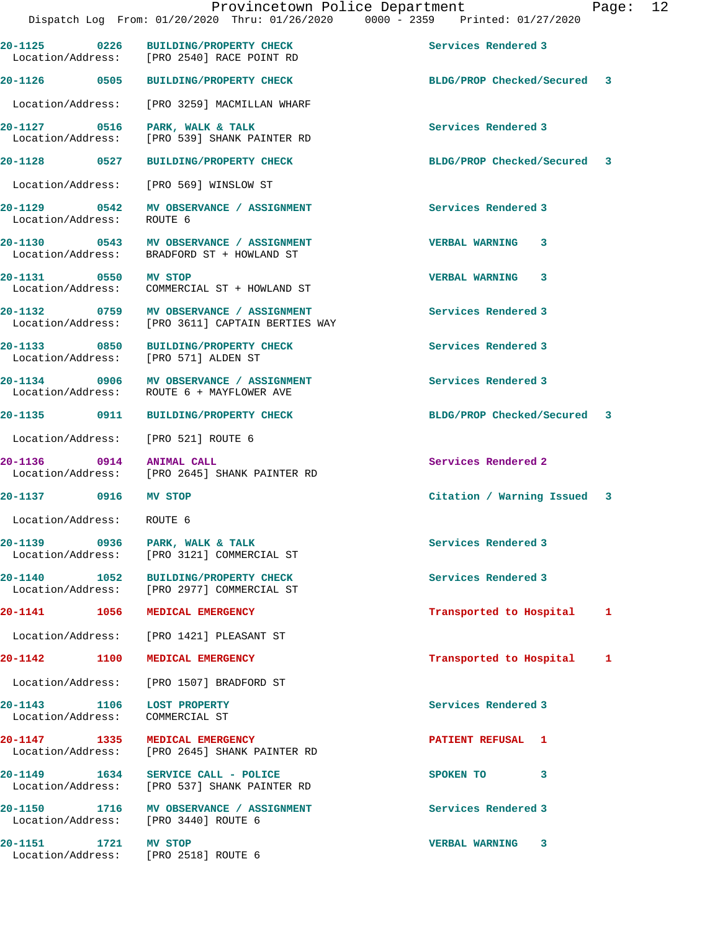|                                                               | 20-1125 0226 BUILDING/PROPERTY CHECK<br>Location/Address: [PRO 2540] RACE POINT RD          | Services Rendered 3         |   |
|---------------------------------------------------------------|---------------------------------------------------------------------------------------------|-----------------------------|---|
|                                                               | 20-1126 0505 BUILDING/PROPERTY CHECK                                                        | BLDG/PROP Checked/Secured 3 |   |
|                                                               | Location/Address: [PRO 3259] MACMILLAN WHARF                                                |                             |   |
| 20-1127 0516<br>Location/Address:                             | PARK, WALK & TALK<br>[PRO 539] SHANK PAINTER RD                                             | Services Rendered 3         |   |
| 20-1128 0527                                                  | <b>BUILDING/PROPERTY CHECK</b>                                                              | BLDG/PROP Checked/Secured 3 |   |
|                                                               | Location/Address: [PRO 569] WINSLOW ST                                                      |                             |   |
| Location/Address: ROUTE 6                                     | 20-1129 0542 MV OBSERVANCE / ASSIGNMENT                                                     | Services Rendered 3         |   |
|                                                               | 20-1130 0543 MV OBSERVANCE / ASSIGNMENT<br>Location/Address: BRADFORD ST + HOWLAND ST       | VERBAL WARNING 3            |   |
| 20-1131 0550 MV STOP                                          | Location/Address: COMMERCIAL ST + HOWLAND ST                                                | <b>VERBAL WARNING 3</b>     |   |
|                                                               | 20-1132 0759 MV OBSERVANCE / ASSIGNMENT<br>Location/Address: [PRO 3611] CAPTAIN BERTIES WAY | Services Rendered 3         |   |
|                                                               | 20-1133 0850 BUILDING/PROPERTY CHECK<br>Location/Address: [PRO 571] ALDEN ST                | Services Rendered 3         |   |
|                                                               | 20-1134 0906 MV OBSERVANCE / ASSIGNMENT<br>Location/Address: ROUTE 6 + MAYFLOWER AVE        | Services Rendered 3         |   |
|                                                               | 20-1135 0911 BUILDING/PROPERTY CHECK                                                        | BLDG/PROP Checked/Secured 3 |   |
|                                                               | Location/Address: [PRO 521] ROUTE 6                                                         |                             |   |
|                                                               | 20-1136 0914 ANIMAL CALL<br>Location/Address: [PRO 2645] SHANK PAINTER RD                   | Services Rendered 2         |   |
| 20-1137 0916 MV STOP                                          |                                                                                             | Citation / Warning Issued 3 |   |
| Location/Address: ROUTE 6                                     |                                                                                             |                             |   |
| Location/Address:                                             | 20-1139 0936 PARK, WALK & TALK<br>[PRO 3121] COMMERCIAL ST                                  | Services Rendered 3         |   |
|                                                               | 20-1140 1052 BUILDING/PROPERTY CHECK<br>Location/Address: [PRO 2977] COMMERCIAL ST          | Services Rendered 3         |   |
|                                                               | 20-1141 1056 MEDICAL EMERGENCY                                                              | Transported to Hospital     | 1 |
|                                                               | Location/Address: [PRO 1421] PLEASANT ST                                                    |                             |   |
| 20-1142                                                       | 1100 MEDICAL EMERGENCY                                                                      | Transported to Hospital 1   |   |
|                                                               | Location/Address: [PRO 1507] BRADFORD ST                                                    |                             |   |
| 20-1143 1106 LOST PROPERTY<br>Location/Address: COMMERCIAL ST |                                                                                             | Services Rendered 3         |   |
|                                                               | 20-1147 1335 MEDICAL EMERGENCY<br>Location/Address: [PRO 2645] SHANK PAINTER RD             | PATIENT REFUSAL 1           |   |
|                                                               | 20-1149 1634 SERVICE CALL - POLICE<br>Location/Address: [PRO 537] SHANK PAINTER RD          | SPOKEN TO<br>3              |   |
|                                                               | 20-1150 1716 MV OBSERVANCE / ASSIGNMENT<br>Location/Address: [PRO 3440] ROUTE 6             | Services Rendered 3         |   |
| 20-1151 1721 MV STOP                                          | Location/Address: [PRO 2518] ROUTE 6                                                        | VERBAL WARNING 3            |   |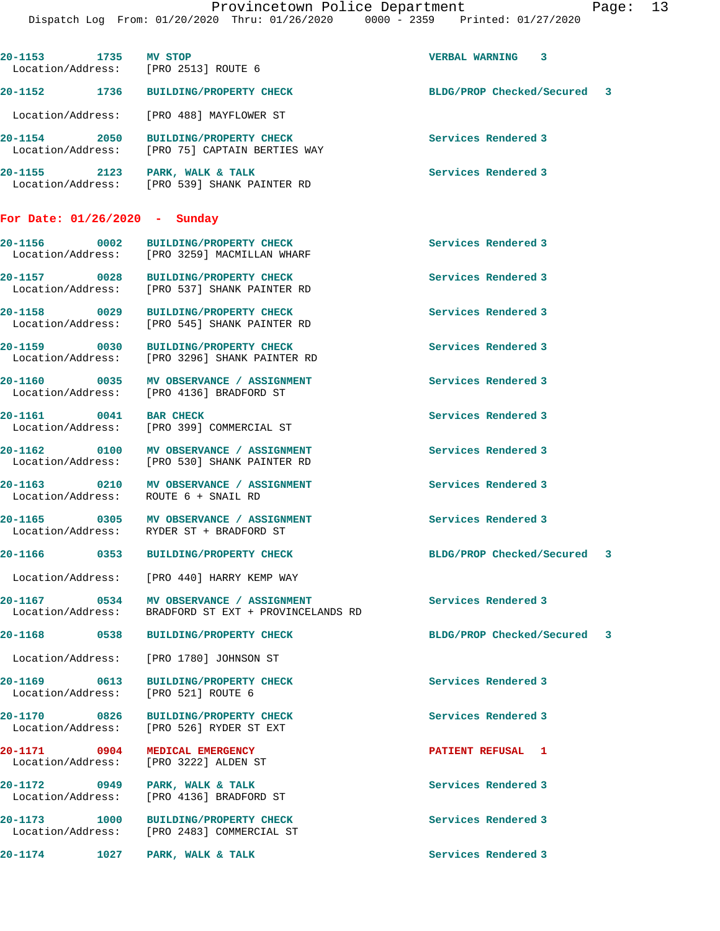Dispatch Log From: 01/20/2020 Thru: 01/26/2020 0000 - 2359 Printed: 01/27/2020 **20-1153 1735 MV STOP VERBAL WARNING 3**  Location/Address: [PRO 2513] ROUTE 6 **20-1152 1736 BUILDING/PROPERTY CHECK BLDG/PROP Checked/Secured 3** Location/Address: [PRO 488] MAYFLOWER ST **20-1154 2050 BUILDING/PROPERTY CHECK Services Rendered 3**  Location/Address: [PRO 75] CAPTAIN BERTIES WAY 20-1155 2123 PARK, WALK & TALK **PARK Services Rendered 3**  Location/Address: [PRO 539] SHANK PAINTER RD **For Date: 01/26/2020 - Sunday 20-1156 0002 BUILDING/PROPERTY CHECK Services Rendered 3**  Location/Address: [PRO 3259] MACMILLAN WHARF **20-1157 0028 BUILDING/PROPERTY CHECK Services Rendered 3**  [PRO 537] SHANK PAINTER RD **20-1158 0029 BUILDING/PROPERTY CHECK Services Rendered 3**  Location/Address: [PRO 545] SHANK PAINTER RD **20-1159 0030 BUILDING/PROPERTY CHECK Services Rendered 3**  Location/Address: [PRO 3296] SHANK PAINTER RD **20-1160 0035 MV OBSERVANCE / ASSIGNMENT Services Rendered 3**  Location/Address: [PRO 4136] BRADFORD ST **20-1161 0041 BAR CHECK Services Rendered 3**  Location/Address: [PRO 399] COMMERCIAL ST 20-1162 **0100 MV OBSERVANCE / ASSIGNMENT** Services Rendered 3 Location/Address: [PRO 530] SHANK PAINTER RD **20-1163 0210 MV OBSERVANCE / ASSIGNMENT Services Rendered 3**  Location/Address: **20-1165 0305 MV OBSERVANCE / ASSIGNMENT Services Rendered 3**  Location/Address: RYDER ST + BRADFORD ST **20-1166 0353 BUILDING/PROPERTY CHECK BLDG/PROP Checked/Secured 3** Location/Address: [PRO 440] HARRY KEMP WAY **20-1167** 0534 MV OBSERVANCE / ASSIGNMENT **Services Rendered 3 BRADEORD ST EXT** + PROVINCELANDS RD BRADFORD ST EXT + PROVINCELANDS RD **20-1168 0538 BUILDING/PROPERTY CHECK BLDG/PROP Checked/Secured 3** Location/Address: [PRO 1780] JOHNSON ST **20-1169 0613 BUILDING/PROPERTY CHECK Services Rendered 3**  Location/Address: **20-1170 0826 BUILDING/PROPERTY CHECK Services Rendered 3**  Location/Address: [PRO 526] RYDER ST EXT **20-1171 0904 MEDICAL EMERGENCY PATIENT REFUSAL 1**  Location/Address: [PRO 3222] ALDEN ST **20-1172 0949 PARK, WALK & TALK Services Rendered 3**  Location/Address: [PRO 4136] BRADFORD ST 20-1173 1000 BUILDING/PROPERTY CHECK Services Rendered 3 Location/Address: [PRO 2483] COMMERCIAL ST [PRO 2483] COMMERCIAL ST **20-1174 1027 PARK, WALK & TALK Services Rendered 3**